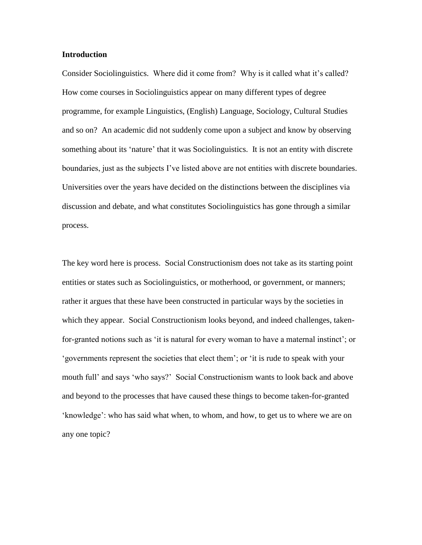## **Introduction**

Consider Sociolinguistics. Where did it come from? Why is it called what it's called? How come courses in Sociolinguistics appear on many different types of degree programme, for example Linguistics, (English) Language, Sociology, Cultural Studies and so on? An academic did not suddenly come upon a subject and know by observing something about its 'nature' that it was Sociolinguistics. It is not an entity with discrete boundaries, just as the subjects I've listed above are not entities with discrete boundaries. Universities over the years have decided on the distinctions between the disciplines via discussion and debate, and what constitutes Sociolinguistics has gone through a similar process.

The key word here is process. Social Constructionism does not take as its starting point entities or states such as Sociolinguistics, or motherhood, or government, or manners; rather it argues that these have been constructed in particular ways by the societies in which they appear. Social Constructionism looks beyond, and indeed challenges, takenfor-granted notions such as 'it is natural for every woman to have a maternal instinct'; or 'governments represent the societies that elect them'; or 'it is rude to speak with your mouth full' and says 'who says?' Social Constructionism wants to look back and above and beyond to the processes that have caused these things to become taken-for-granted 'knowledge': who has said what when, to whom, and how, to get us to where we are on any one topic?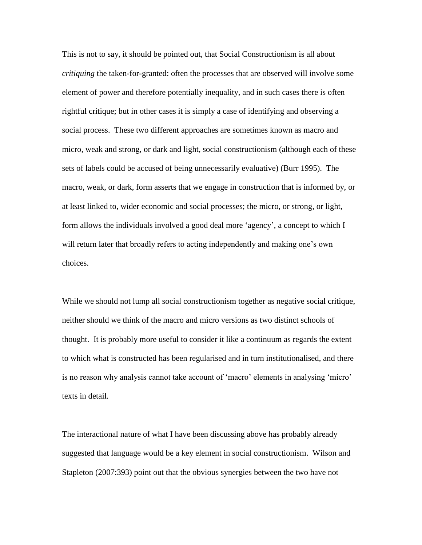This is not to say, it should be pointed out, that Social Constructionism is all about *critiquing* the taken-for-granted: often the processes that are observed will involve some element of power and therefore potentially inequality, and in such cases there is often rightful critique; but in other cases it is simply a case of identifying and observing a social process. These two different approaches are sometimes known as macro and micro, weak and strong, or dark and light, social constructionism (although each of these sets of labels could be accused of being unnecessarily evaluative) (Burr 1995). The macro, weak, or dark, form asserts that we engage in construction that is informed by, or at least linked to, wider economic and social processes; the micro, or strong, or light, form allows the individuals involved a good deal more 'agency', a concept to which I will return later that broadly refers to acting independently and making one's own choices.

While we should not lump all social constructionism together as negative social critique, neither should we think of the macro and micro versions as two distinct schools of thought. It is probably more useful to consider it like a continuum as regards the extent to which what is constructed has been regularised and in turn institutionalised, and there is no reason why analysis cannot take account of 'macro' elements in analysing 'micro' texts in detail.

The interactional nature of what I have been discussing above has probably already suggested that language would be a key element in social constructionism. Wilson and Stapleton (2007:393) point out that the obvious synergies between the two have not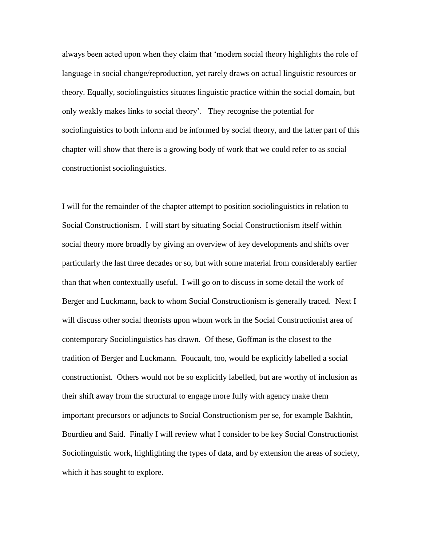always been acted upon when they claim that 'modern social theory highlights the role of language in social change/reproduction, yet rarely draws on actual linguistic resources or theory. Equally, sociolinguistics situates linguistic practice within the social domain, but only weakly makes links to social theory'. They recognise the potential for sociolinguistics to both inform and be informed by social theory, and the latter part of this chapter will show that there is a growing body of work that we could refer to as social constructionist sociolinguistics.

I will for the remainder of the chapter attempt to position sociolinguistics in relation to Social Constructionism. I will start by situating Social Constructionism itself within social theory more broadly by giving an overview of key developments and shifts over particularly the last three decades or so, but with some material from considerably earlier than that when contextually useful. I will go on to discuss in some detail the work of Berger and Luckmann, back to whom Social Constructionism is generally traced. Next I will discuss other social theorists upon whom work in the Social Constructionist area of contemporary Sociolinguistics has drawn. Of these, Goffman is the closest to the tradition of Berger and Luckmann. Foucault, too, would be explicitly labelled a social constructionist. Others would not be so explicitly labelled, but are worthy of inclusion as their shift away from the structural to engage more fully with agency make them important precursors or adjuncts to Social Constructionism per se, for example Bakhtin, Bourdieu and Said. Finally I will review what I consider to be key Social Constructionist Sociolinguistic work, highlighting the types of data, and by extension the areas of society, which it has sought to explore.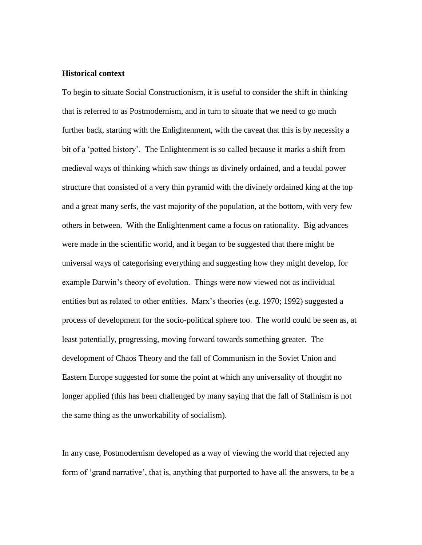## **Historical context**

To begin to situate Social Constructionism, it is useful to consider the shift in thinking that is referred to as Postmodernism, and in turn to situate that we need to go much further back, starting with the Enlightenment, with the caveat that this is by necessity a bit of a 'potted history'. The Enlightenment is so called because it marks a shift from medieval ways of thinking which saw things as divinely ordained, and a feudal power structure that consisted of a very thin pyramid with the divinely ordained king at the top and a great many serfs, the vast majority of the population, at the bottom, with very few others in between. With the Enlightenment came a focus on rationality. Big advances were made in the scientific world, and it began to be suggested that there might be universal ways of categorising everything and suggesting how they might develop, for example Darwin's theory of evolution. Things were now viewed not as individual entities but as related to other entities. Marx's theories (e.g. 1970; 1992) suggested a process of development for the socio-political sphere too. The world could be seen as, at least potentially, progressing, moving forward towards something greater. The development of Chaos Theory and the fall of Communism in the Soviet Union and Eastern Europe suggested for some the point at which any universality of thought no longer applied (this has been challenged by many saying that the fall of Stalinism is not the same thing as the unworkability of socialism).

In any case, Postmodernism developed as a way of viewing the world that rejected any form of 'grand narrative', that is, anything that purported to have all the answers, to be a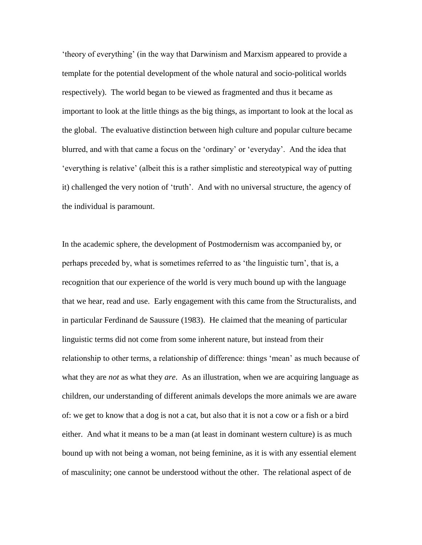'theory of everything' (in the way that Darwinism and Marxism appeared to provide a template for the potential development of the whole natural and socio-political worlds respectively). The world began to be viewed as fragmented and thus it became as important to look at the little things as the big things, as important to look at the local as the global. The evaluative distinction between high culture and popular culture became blurred, and with that came a focus on the 'ordinary' or 'everyday'. And the idea that 'everything is relative' (albeit this is a rather simplistic and stereotypical way of putting it) challenged the very notion of 'truth'. And with no universal structure, the agency of the individual is paramount.

In the academic sphere, the development of Postmodernism was accompanied by, or perhaps preceded by, what is sometimes referred to as 'the linguistic turn', that is, a recognition that our experience of the world is very much bound up with the language that we hear, read and use. Early engagement with this came from the Structuralists, and in particular Ferdinand de Saussure (1983). He claimed that the meaning of particular linguistic terms did not come from some inherent nature, but instead from their relationship to other terms, a relationship of difference: things 'mean' as much because of what they are *not* as what they *are*. As an illustration, when we are acquiring language as children, our understanding of different animals develops the more animals we are aware of: we get to know that a dog is not a cat, but also that it is not a cow or a fish or a bird either. And what it means to be a man (at least in dominant western culture) is as much bound up with not being a woman, not being feminine, as it is with any essential element of masculinity; one cannot be understood without the other. The relational aspect of de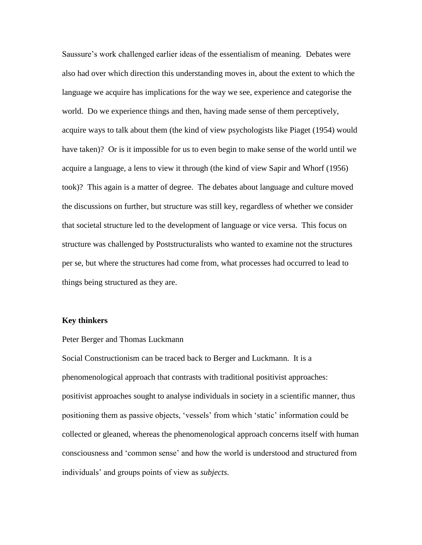Saussure's work challenged earlier ideas of the essentialism of meaning. Debates were also had over which direction this understanding moves in, about the extent to which the language we acquire has implications for the way we see, experience and categorise the world. Do we experience things and then, having made sense of them perceptively, acquire ways to talk about them (the kind of view psychologists like Piaget (1954) would have taken)? Or is it impossible for us to even begin to make sense of the world until we acquire a language, a lens to view it through (the kind of view Sapir and Whorf (1956) took)? This again is a matter of degree. The debates about language and culture moved the discussions on further, but structure was still key, regardless of whether we consider that societal structure led to the development of language or vice versa. This focus on structure was challenged by Poststructuralists who wanted to examine not the structures per se, but where the structures had come from, what processes had occurred to lead to things being structured as they are.

## **Key thinkers**

### Peter Berger and Thomas Luckmann

Social Constructionism can be traced back to Berger and Luckmann. It is a phenomenological approach that contrasts with traditional positivist approaches: positivist approaches sought to analyse individuals in society in a scientific manner, thus positioning them as passive objects, 'vessels' from which 'static' information could be collected or gleaned, whereas the phenomenological approach concerns itself with human consciousness and 'common sense' and how the world is understood and structured from individuals' and groups points of view as *subjects*.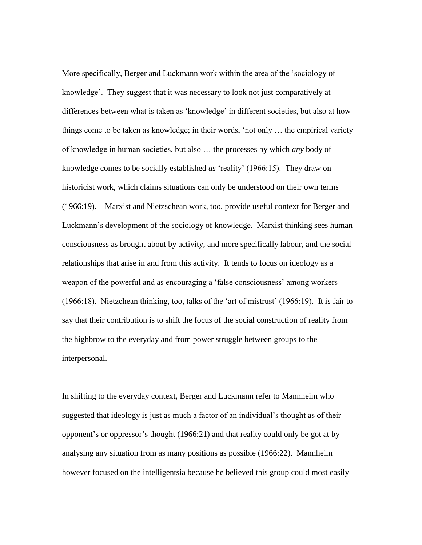More specifically, Berger and Luckmann work within the area of the 'sociology of knowledge'. They suggest that it was necessary to look not just comparatively at differences between what is taken as 'knowledge' in different societies, but also at how things come to be taken as knowledge; in their words, 'not only … the empirical variety of knowledge in human societies, but also … the processes by which *any* body of knowledge comes to be socially established *as* 'reality' (1966:15). They draw on historicist work, which claims situations can only be understood on their own terms (1966:19). Marxist and Nietzschean work, too, provide useful context for Berger and Luckmann's development of the sociology of knowledge. Marxist thinking sees human consciousness as brought about by activity, and more specifically labour, and the social relationships that arise in and from this activity. It tends to focus on ideology as a weapon of the powerful and as encouraging a 'false consciousness' among workers (1966:18). Nietzchean thinking, too, talks of the 'art of mistrust' (1966:19). It is fair to say that their contribution is to shift the focus of the social construction of reality from the highbrow to the everyday and from power struggle between groups to the interpersonal.

In shifting to the everyday context, Berger and Luckmann refer to Mannheim who suggested that ideology is just as much a factor of an individual's thought as of their opponent's or oppressor's thought (1966:21) and that reality could only be got at by analysing any situation from as many positions as possible (1966:22). Mannheim however focused on the intelligentsia because he believed this group could most easily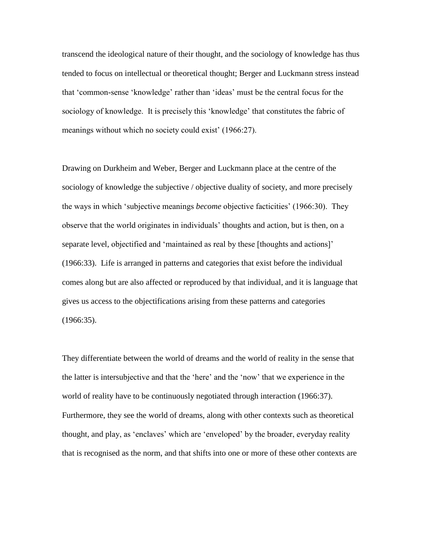transcend the ideological nature of their thought, and the sociology of knowledge has thus tended to focus on intellectual or theoretical thought; Berger and Luckmann stress instead that 'common-sense 'knowledge' rather than 'ideas' must be the central focus for the sociology of knowledge. It is precisely this 'knowledge' that constitutes the fabric of meanings without which no society could exist' (1966:27).

Drawing on Durkheim and Weber, Berger and Luckmann place at the centre of the sociology of knowledge the subjective / objective duality of society, and more precisely the ways in which 'subjective meanings *become* objective facticities' (1966:30). They observe that the world originates in individuals' thoughts and action, but is then, on a separate level, objectified and 'maintained as real by these [thoughts and actions]' (1966:33). Life is arranged in patterns and categories that exist before the individual comes along but are also affected or reproduced by that individual, and it is language that gives us access to the objectifications arising from these patterns and categories (1966:35).

They differentiate between the world of dreams and the world of reality in the sense that the latter is intersubjective and that the 'here' and the 'now' that we experience in the world of reality have to be continuously negotiated through interaction (1966:37). Furthermore, they see the world of dreams, along with other contexts such as theoretical thought, and play, as 'enclaves' which are 'enveloped' by the broader, everyday reality that is recognised as the norm, and that shifts into one or more of these other contexts are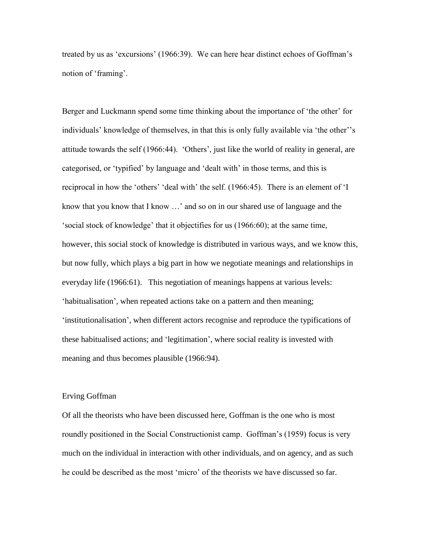treated by us as 'excursions' (1966:39). We can here hear distinct echoes of Goffman's notion of 'framing'.

Berger and Luckmann spend some time thinking about the importance of 'the other' for individuals' knowledge of themselves, in that this is only fully available via 'the other''s attitude towards the self (1966:44). 'Others', just like the world of reality in general, are categorised, or 'typified' by language and 'dealt with' in those terms, and this is reciprocal in how the 'others' 'deal with' the self. (1966:45). There is an element of 'I know that you know that I know …' and so on in our shared use of language and the 'social stock of knowledge' that it objectifies for us (1966:60); at the same time, however, this social stock of knowledge is distributed in various ways, and we know this, but now fully, which plays a big part in how we negotiate meanings and relationships in everyday life (1966:61). This negotiation of meanings happens at various levels: 'habitualisation', when repeated actions take on a pattern and then meaning; 'institutionalisation', when different actors recognise and reproduce the typifications of these habitualised actions; and 'legitimation', where social reality is invested with meaning and thus becomes plausible (1966:94).

#### Erving Goffman

Of all the theorists who have been discussed here, Goffman is the one who is most roundly positioned in the Social Constructionist camp. Goffman's (1959) focus is very much on the individual in interaction with other individuals, and on agency, and as such he could be described as the most 'micro' of the theorists we have discussed so far.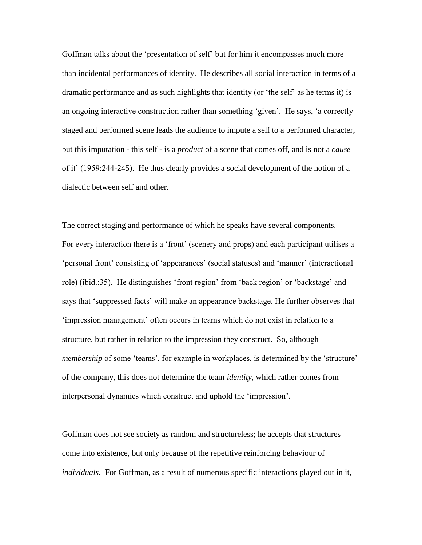Goffman talks about the 'presentation of self' but for him it encompasses much more than incidental performances of identity. He describes all social interaction in terms of a dramatic performance and as such highlights that identity (or 'the self' as he terms it) is an ongoing interactive construction rather than something 'given'. He says, 'a correctly staged and performed scene leads the audience to impute a self to a performed character, but this imputation - this self - is a *product* of a scene that comes off, and is not a *cause*  of it' (1959:244-245). He thus clearly provides a social development of the notion of a dialectic between self and other.

The correct staging and performance of which he speaks have several components. For every interaction there is a 'front' (scenery and props) and each participant utilises a 'personal front' consisting of 'appearances' (social statuses) and 'manner' (interactional role) (ibid.:35). He distinguishes 'front region' from 'back region' or 'backstage' and says that 'suppressed facts' will make an appearance backstage. He further observes that 'impression management' often occurs in teams which do not exist in relation to a structure, but rather in relation to the impression they construct. So, although *membership* of some 'teams', for example in workplaces, is determined by the 'structure' of the company, this does not determine the team *identity*, which rather comes from interpersonal dynamics which construct and uphold the 'impression'.

Goffman does not see society as random and structureless; he accepts that structures come into existence, but only because of the repetitive reinforcing behaviour of *individuals.* For Goffman, as a result of numerous specific interactions played out in it,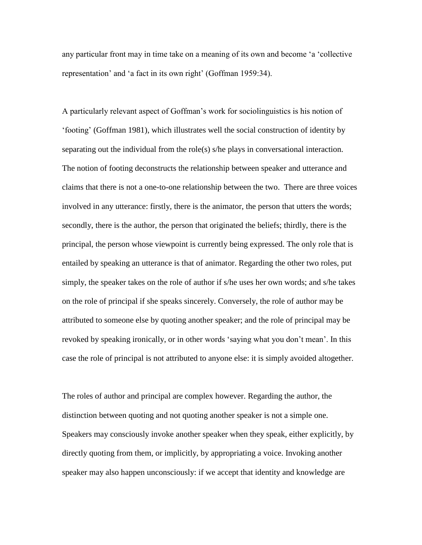any particular front may in time take on a meaning of its own and become 'a 'collective representation' and 'a fact in its own right' (Goffman 1959:34).

A particularly relevant aspect of Goffman's work for sociolinguistics is his notion of 'footing' (Goffman 1981), which illustrates well the social construction of identity by separating out the individual from the role(s) s/he plays in conversational interaction. The notion of footing deconstructs the relationship between speaker and utterance and claims that there is not a one-to-one relationship between the two. There are three voices involved in any utterance: firstly, there is the animator, the person that utters the words; secondly, there is the author, the person that originated the beliefs; thirdly, there is the principal, the person whose viewpoint is currently being expressed. The only role that is entailed by speaking an utterance is that of animator. Regarding the other two roles, put simply, the speaker takes on the role of author if s/he uses her own words; and s/he takes on the role of principal if she speaks sincerely. Conversely, the role of author may be attributed to someone else by quoting another speaker; and the role of principal may be revoked by speaking ironically, or in other words 'saying what you don't mean'. In this case the role of principal is not attributed to anyone else: it is simply avoided altogether.

The roles of author and principal are complex however. Regarding the author, the distinction between quoting and not quoting another speaker is not a simple one. Speakers may consciously invoke another speaker when they speak, either explicitly, by directly quoting from them, or implicitly, by appropriating a voice. Invoking another speaker may also happen unconsciously: if we accept that identity and knowledge are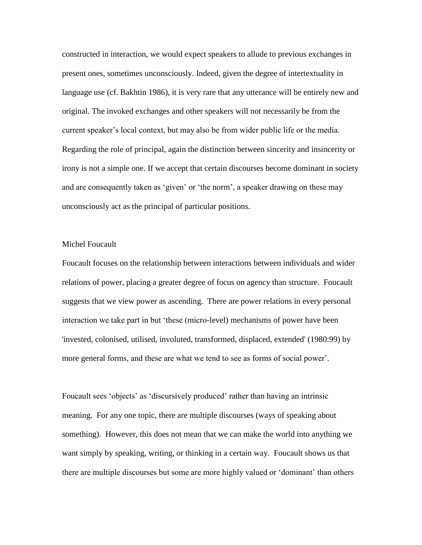constructed in interaction, we would expect speakers to allude to previous exchanges in present ones, sometimes unconsciously. Indeed, given the degree of intertextuality in language use (cf. Bakhtin 1986), it is very rare that any utterance will be entirely new and original. The invoked exchanges and other speakers will not necessarily be from the current speaker's local context, but may also be from wider public life or the media. Regarding the role of principal, again the distinction between sincerity and insincerity or irony is not a simple one. If we accept that certain discourses become dominant in society and are consequently taken as 'given' or 'the norm', a speaker drawing on these may unconsciously act as the principal of particular positions.

## Michel Foucault

Foucault focuses on the relationship between interactions between individuals and wider relations of power, placing a greater degree of focus on agency than structure. Foucault suggests that we view power as ascending. There are power relations in every personal interaction we take part in but 'these (micro-level) mechanisms of power have been 'invested, colonised, utilised, involuted, transformed, displaced, extended' (1980:99) by more general forms, and these are what we tend to see as forms of social power'.

Foucault sees 'objects' as 'discursively produced' rather than having an intrinsic meaning. For any one topic, there are multiple discourses (ways of speaking about something). However, this does not mean that we can make the world into anything we want simply by speaking, writing, or thinking in a certain way. Foucault shows us that there are multiple discourses but some are more highly valued or 'dominant' than others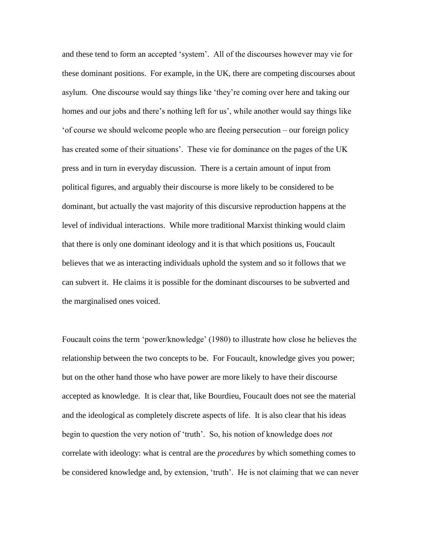and these tend to form an accepted 'system'. All of the discourses however may vie for these dominant positions. For example, in the UK, there are competing discourses about asylum. One discourse would say things like 'they're coming over here and taking our homes and our jobs and there's nothing left for us', while another would say things like 'of course we should welcome people who are fleeing persecution – our foreign policy has created some of their situations'. These vie for dominance on the pages of the UK press and in turn in everyday discussion. There is a certain amount of input from political figures, and arguably their discourse is more likely to be considered to be dominant, but actually the vast majority of this discursive reproduction happens at the level of individual interactions. While more traditional Marxist thinking would claim that there is only one dominant ideology and it is that which positions us, Foucault believes that we as interacting individuals uphold the system and so it follows that we can subvert it. He claims it is possible for the dominant discourses to be subverted and the marginalised ones voiced.

Foucault coins the term 'power/knowledge' (1980) to illustrate how close he believes the relationship between the two concepts to be. For Foucault, knowledge gives you power; but on the other hand those who have power are more likely to have their discourse accepted as knowledge. It is clear that, like Bourdieu, Foucault does not see the material and the ideological as completely discrete aspects of life. It is also clear that his ideas begin to question the very notion of 'truth'. So, his notion of knowledge does *not*  correlate with ideology: what is central are the *procedures* by which something comes to be considered knowledge and, by extension, 'truth'. He is not claiming that we can never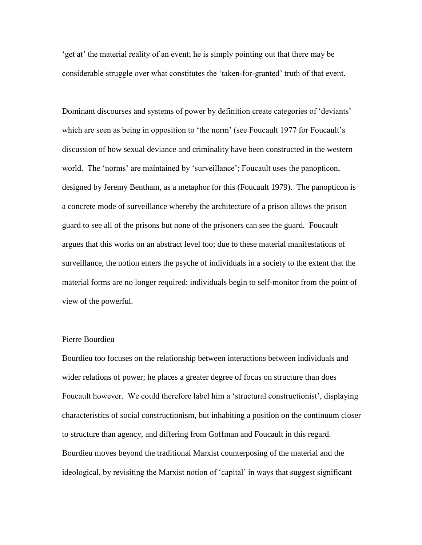'get at' the material reality of an event; he is simply pointing out that there may be considerable struggle over what constitutes the 'taken-for-granted' truth of that event.

Dominant discourses and systems of power by definition create categories of 'deviants' which are seen as being in opposition to 'the norm' (see Foucault 1977 for Foucault's discussion of how sexual deviance and criminality have been constructed in the western world. The 'norms' are maintained by 'surveillance'; Foucault uses the panopticon, designed by Jeremy Bentham, as a metaphor for this (Foucault 1979). The panopticon is a concrete mode of surveillance whereby the architecture of a prison allows the prison guard to see all of the prisons but none of the prisoners can see the guard. Foucault argues that this works on an abstract level too; due to these material manifestations of surveillance, the notion enters the psyche of individuals in a society to the extent that the material forms are no longer required: individuals begin to self-monitor from the point of view of the powerful.

## Pierre Bourdieu

Bourdieu too focuses on the relationship between interactions between individuals and wider relations of power; he places a greater degree of focus on structure than does Foucault however. We could therefore label him a 'structural constructionist', displaying characteristics of social constructionism, but inhabiting a position on the continuum closer to structure than agency, and differing from Goffman and Foucault in this regard. Bourdieu moves beyond the traditional Marxist counterposing of the material and the ideological, by revisiting the Marxist notion of 'capital' in ways that suggest significant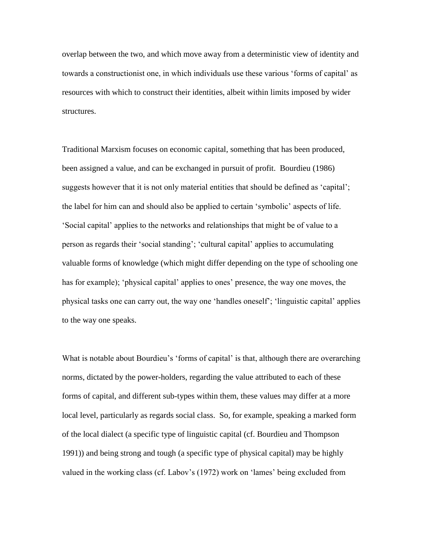overlap between the two, and which move away from a deterministic view of identity and towards a constructionist one, in which individuals use these various 'forms of capital' as resources with which to construct their identities, albeit within limits imposed by wider structures.

Traditional Marxism focuses on economic capital, something that has been produced, been assigned a value, and can be exchanged in pursuit of profit. Bourdieu (1986) suggests however that it is not only material entities that should be defined as 'capital'; the label for him can and should also be applied to certain 'symbolic' aspects of life. 'Social capital' applies to the networks and relationships that might be of value to a person as regards their 'social standing'; 'cultural capital' applies to accumulating valuable forms of knowledge (which might differ depending on the type of schooling one has for example); 'physical capital' applies to ones' presence, the way one moves, the physical tasks one can carry out, the way one 'handles oneself'; 'linguistic capital' applies to the way one speaks.

What is notable about Bourdieu's 'forms of capital' is that, although there are overarching norms, dictated by the power-holders, regarding the value attributed to each of these forms of capital, and different sub-types within them, these values may differ at a more local level, particularly as regards social class. So, for example, speaking a marked form of the local dialect (a specific type of linguistic capital (cf. Bourdieu and Thompson 1991)) and being strong and tough (a specific type of physical capital) may be highly valued in the working class (cf. Labov's (1972) work on 'lames' being excluded from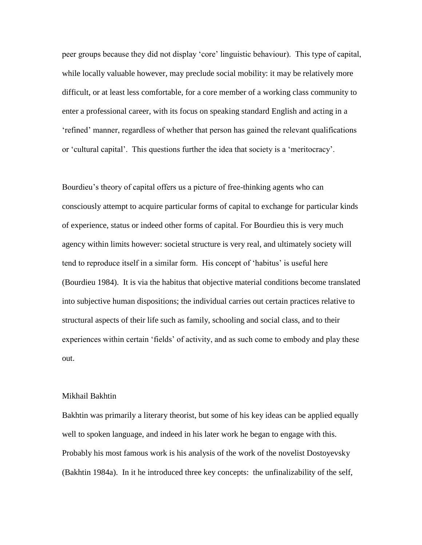peer groups because they did not display 'core' linguistic behaviour). This type of capital, while locally valuable however, may preclude social mobility: it may be relatively more difficult, or at least less comfortable, for a core member of a working class community to enter a professional career, with its focus on speaking standard English and acting in a 'refined' manner, regardless of whether that person has gained the relevant qualifications or 'cultural capital'. This questions further the idea that society is a 'meritocracy'.

Bourdieu's theory of capital offers us a picture of free-thinking agents who can consciously attempt to acquire particular forms of capital to exchange for particular kinds of experience, status or indeed other forms of capital. For Bourdieu this is very much agency within limits however: societal structure is very real, and ultimately society will tend to reproduce itself in a similar form. His concept of 'habitus' is useful here (Bourdieu 1984). It is via the habitus that objective material conditions become translated into subjective human dispositions; the individual carries out certain practices relative to structural aspects of their life such as family, schooling and social class, and to their experiences within certain 'fields' of activity, and as such come to embody and play these out.

### Mikhail Bakhtin

Bakhtin was primarily a literary theorist, but some of his key ideas can be applied equally well to spoken language, and indeed in his later work he began to engage with this. Probably his most famous work is his analysis of the work of the novelist Dostoyevsky (Bakhtin 1984a). In it he introduced three key concepts: the unfinalizability of the self,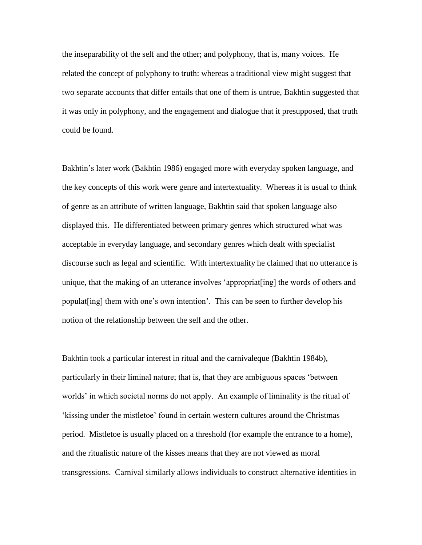the inseparability of the self and the other; and polyphony, that is, many voices. He related the concept of polyphony to truth: whereas a traditional view might suggest that two separate accounts that differ entails that one of them is untrue, Bakhtin suggested that it was only in polyphony, and the engagement and dialogue that it presupposed, that truth could be found.

Bakhtin's later work (Bakhtin 1986) engaged more with everyday spoken language, and the key concepts of this work were genre and intertextuality. Whereas it is usual to think of genre as an attribute of written language, Bakhtin said that spoken language also displayed this. He differentiated between primary genres which structured what was acceptable in everyday language, and secondary genres which dealt with specialist discourse such as legal and scientific. With intertextuality he claimed that no utterance is unique, that the making of an utterance involves 'appropriat[ing] the words of others and populat[ing] them with one's own intention'. This can be seen to further develop his notion of the relationship between the self and the other.

Bakhtin took a particular interest in ritual and the carnivaleque (Bakhtin 1984b), particularly in their liminal nature; that is, that they are ambiguous spaces 'between worlds' in which societal norms do not apply. An example of liminality is the ritual of 'kissing under the mistletoe' found in certain western cultures around the Christmas period. Mistletoe is usually placed on a threshold (for example the entrance to a home), and the ritualistic nature of the kisses means that they are not viewed as moral transgressions. Carnival similarly allows individuals to construct alternative identities in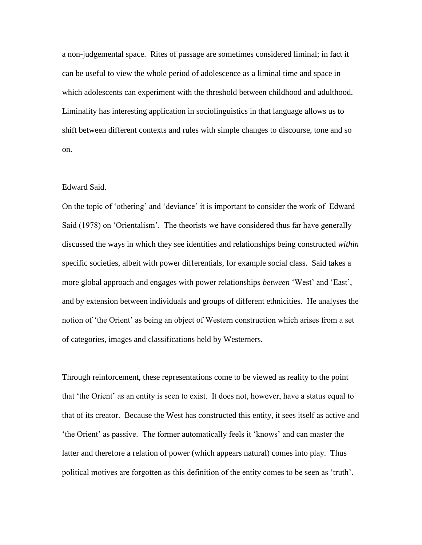a non-judgemental space. Rites of passage are sometimes considered liminal; in fact it can be useful to view the whole period of adolescence as a liminal time and space in which adolescents can experiment with the threshold between childhood and adulthood. Liminality has interesting application in sociolinguistics in that language allows us to shift between different contexts and rules with simple changes to discourse, tone and so on.

## Edward Said.

On the topic of 'othering' and 'deviance' it is important to consider the work of Edward Said (1978) on 'Orientalism'. The theorists we have considered thus far have generally discussed the ways in which they see identities and relationships being constructed *within*  specific societies, albeit with power differentials, for example social class. Said takes a more global approach and engages with power relationships *between* 'West' and 'East', and by extension between individuals and groups of different ethnicities. He analyses the notion of 'the Orient' as being an object of Western construction which arises from a set of categories, images and classifications held by Westerners.

Through reinforcement, these representations come to be viewed as reality to the point that 'the Orient' as an entity is seen to exist. It does not, however, have a status equal to that of its creator. Because the West has constructed this entity, it sees itself as active and 'the Orient' as passive. The former automatically feels it 'knows' and can master the latter and therefore a relation of power (which appears natural) comes into play. Thus political motives are forgotten as this definition of the entity comes to be seen as 'truth'.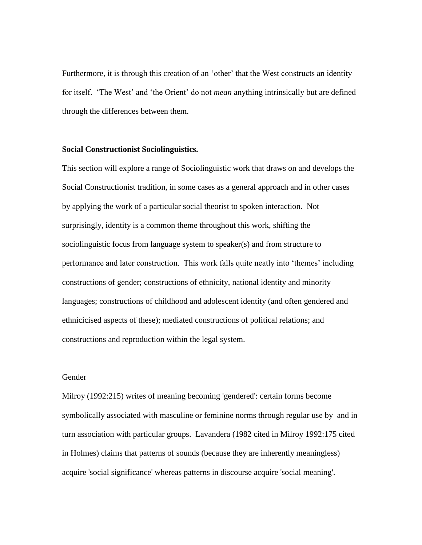Furthermore, it is through this creation of an 'other' that the West constructs an identity for itself. 'The West' and 'the Orient' do not *mean* anything intrinsically but are defined through the differences between them.

## **Social Constructionist Sociolinguistics.**

This section will explore a range of Sociolinguistic work that draws on and develops the Social Constructionist tradition, in some cases as a general approach and in other cases by applying the work of a particular social theorist to spoken interaction. Not surprisingly, identity is a common theme throughout this work, shifting the sociolinguistic focus from language system to speaker(s) and from structure to performance and later construction. This work falls quite neatly into 'themes' including constructions of gender; constructions of ethnicity, national identity and minority languages; constructions of childhood and adolescent identity (and often gendered and ethnicicised aspects of these); mediated constructions of political relations; and constructions and reproduction within the legal system.

## Gender

Milroy (1992:215) writes of meaning becoming 'gendered': certain forms become symbolically associated with masculine or feminine norms through regular use by and in turn association with particular groups. Lavandera (1982 cited in Milroy 1992:175 cited in Holmes) claims that patterns of sounds (because they are inherently meaningless) acquire 'social significance' whereas patterns in discourse acquire 'social meaning'.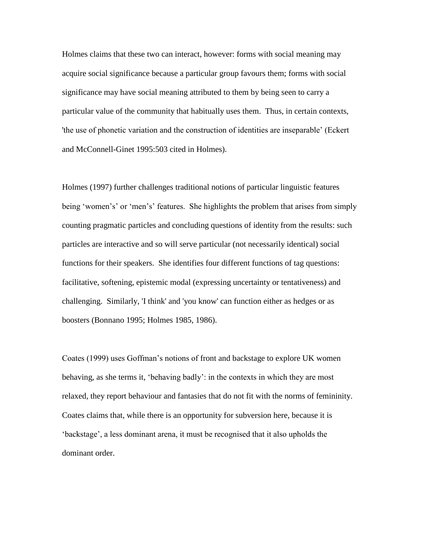Holmes claims that these two can interact, however: forms with social meaning may acquire social significance because a particular group favours them; forms with social significance may have social meaning attributed to them by being seen to carry a particular value of the community that habitually uses them. Thus, in certain contexts, 'the use of phonetic variation and the construction of identities are inseparable' (Eckert and McConnell-Ginet 1995:503 cited in Holmes).

Holmes (1997) further challenges traditional notions of particular linguistic features being 'women's' or 'men's' features. She highlights the problem that arises from simply counting pragmatic particles and concluding questions of identity from the results: such particles are interactive and so will serve particular (not necessarily identical) social functions for their speakers. She identifies four different functions of tag questions: facilitative, softening, epistemic modal (expressing uncertainty or tentativeness) and challenging. Similarly, 'I think' and 'you know' can function either as hedges or as boosters (Bonnano 1995; Holmes 1985, 1986).

Coates (1999) uses Goffman's notions of front and backstage to explore UK women behaving, as she terms it, 'behaving badly': in the contexts in which they are most relaxed, they report behaviour and fantasies that do not fit with the norms of femininity. Coates claims that, while there is an opportunity for subversion here, because it is 'backstage', a less dominant arena, it must be recognised that it also upholds the dominant order.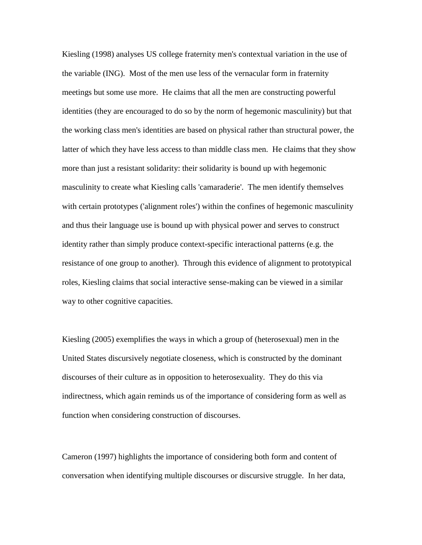Kiesling (1998) analyses US college fraternity men's contextual variation in the use of the variable (ING). Most of the men use less of the vernacular form in fraternity meetings but some use more. He claims that all the men are constructing powerful identities (they are encouraged to do so by the norm of hegemonic masculinity) but that the working class men's identities are based on physical rather than structural power, the latter of which they have less access to than middle class men. He claims that they show more than just a resistant solidarity: their solidarity is bound up with hegemonic masculinity to create what Kiesling calls 'camaraderie'. The men identify themselves with certain prototypes ('alignment roles') within the confines of hegemonic masculinity and thus their language use is bound up with physical power and serves to construct identity rather than simply produce context-specific interactional patterns (e.g. the resistance of one group to another). Through this evidence of alignment to prototypical roles, Kiesling claims that social interactive sense-making can be viewed in a similar way to other cognitive capacities.

Kiesling (2005) exemplifies the ways in which a group of (heterosexual) men in the United States discursively negotiate closeness, which is constructed by the dominant discourses of their culture as in opposition to heterosexuality. They do this via indirectness, which again reminds us of the importance of considering form as well as function when considering construction of discourses.

Cameron (1997) highlights the importance of considering both form and content of conversation when identifying multiple discourses or discursive struggle. In her data,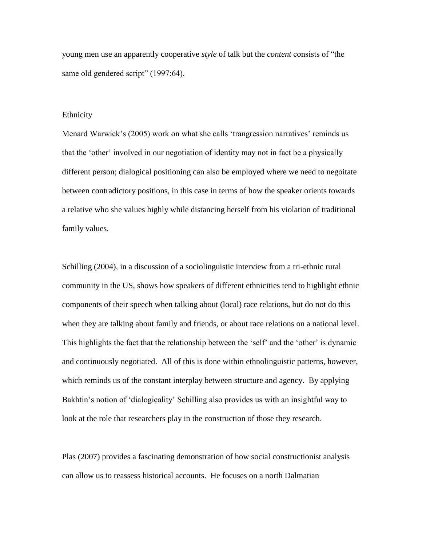young men use an apparently cooperative *style* of talk but the *content* consists of "the same old gendered script" (1997:64).

## Ethnicity

Menard Warwick's (2005) work on what she calls 'trangression narratives' reminds us that the 'other' involved in our negotiation of identity may not in fact be a physically different person; dialogical positioning can also be employed where we need to negoitate between contradictory positions, in this case in terms of how the speaker orients towards a relative who she values highly while distancing herself from his violation of traditional family values.

Schilling (2004), in a discussion of a sociolinguistic interview from a tri-ethnic rural community in the US, shows how speakers of different ethnicities tend to highlight ethnic components of their speech when talking about (local) race relations, but do not do this when they are talking about family and friends, or about race relations on a national level. This highlights the fact that the relationship between the 'self' and the 'other' is dynamic and continuously negotiated. All of this is done within ethnolinguistic patterns, however, which reminds us of the constant interplay between structure and agency. By applying Bakhtin's notion of 'dialogicality' Schilling also provides us with an insightful way to look at the role that researchers play in the construction of those they research.

Plas (2007) provides a fascinating demonstration of how social constructionist analysis can allow us to reassess historical accounts. He focuses on a north Dalmatian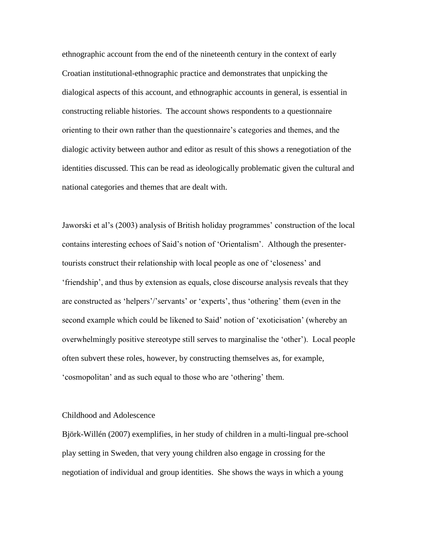ethnographic account from the end of the nineteenth century in the context of early Croatian institutional-ethnographic practice and demonstrates that unpicking the dialogical aspects of this account, and ethnographic accounts in general, is essential in constructing reliable histories. The account shows respondents to a questionnaire orienting to their own rather than the questionnaire's categories and themes, and the dialogic activity between author and editor as result of this shows a renegotiation of the identities discussed. This can be read as ideologically problematic given the cultural and national categories and themes that are dealt with.

Jaworski et al's (2003) analysis of British holiday programmes' construction of the local contains interesting echoes of Said's notion of 'Orientalism'. Although the presentertourists construct their relationship with local people as one of 'closeness' and 'friendship', and thus by extension as equals, close discourse analysis reveals that they are constructed as 'helpers'/'servants' or 'experts', thus 'othering' them (even in the second example which could be likened to Said' notion of 'exoticisation' (whereby an overwhelmingly positive stereotype still serves to marginalise the 'other'). Local people often subvert these roles, however, by constructing themselves as, for example, 'cosmopolitan' and as such equal to those who are 'othering' them.

## Childhood and Adolescence

Björk-Willén (2007) exemplifies, in her study of children in a multi-lingual pre-school play setting in Sweden, that very young children also engage in crossing for the negotiation of individual and group identities. She shows the ways in which a young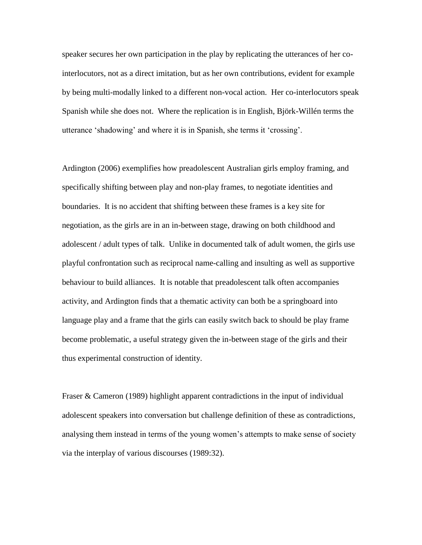speaker secures her own participation in the play by replicating the utterances of her cointerlocutors, not as a direct imitation, but as her own contributions, evident for example by being multi-modally linked to a different non-vocal action. Her co-interlocutors speak Spanish while she does not. Where the replication is in English, Björk-Willén terms the utterance 'shadowing' and where it is in Spanish, she terms it 'crossing'.

Ardington (2006) exemplifies how preadolescent Australian girls employ framing, and specifically shifting between play and non-play frames, to negotiate identities and boundaries. It is no accident that shifting between these frames is a key site for negotiation, as the girls are in an in-between stage, drawing on both childhood and adolescent / adult types of talk. Unlike in documented talk of adult women, the girls use playful confrontation such as reciprocal name-calling and insulting as well as supportive behaviour to build alliances. It is notable that preadolescent talk often accompanies activity, and Ardington finds that a thematic activity can both be a springboard into language play and a frame that the girls can easily switch back to should be play frame become problematic, a useful strategy given the in-between stage of the girls and their thus experimental construction of identity.

Fraser & Cameron (1989) highlight apparent contradictions in the input of individual adolescent speakers into conversation but challenge definition of these as contradictions, analysing them instead in terms of the young women's attempts to make sense of society via the interplay of various discourses (1989:32).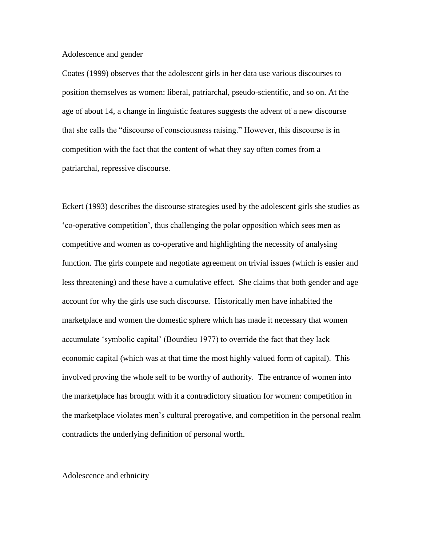### Adolescence and gender

Coates (1999) observes that the adolescent girls in her data use various discourses to position themselves as women: liberal, patriarchal, pseudo-scientific, and so on. At the age of about 14, a change in linguistic features suggests the advent of a new discourse that she calls the "discourse of consciousness raising." However, this discourse is in competition with the fact that the content of what they say often comes from a patriarchal, repressive discourse.

Eckert (1993) describes the discourse strategies used by the adolescent girls she studies as 'co-operative competition', thus challenging the polar opposition which sees men as competitive and women as co-operative and highlighting the necessity of analysing function. The girls compete and negotiate agreement on trivial issues (which is easier and less threatening) and these have a cumulative effect. She claims that both gender and age account for why the girls use such discourse. Historically men have inhabited the marketplace and women the domestic sphere which has made it necessary that women accumulate 'symbolic capital' (Bourdieu 1977) to override the fact that they lack economic capital (which was at that time the most highly valued form of capital). This involved proving the whole self to be worthy of authority. The entrance of women into the marketplace has brought with it a contradictory situation for women: competition in the marketplace violates men's cultural prerogative, and competition in the personal realm contradicts the underlying definition of personal worth.

### Adolescence and ethnicity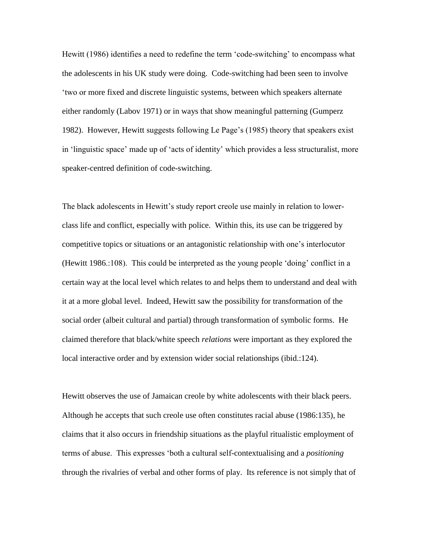Hewitt (1986) identifies a need to redefine the term 'code-switching' to encompass what the adolescents in his UK study were doing. Code-switching had been seen to involve 'two or more fixed and discrete linguistic systems, between which speakers alternate either randomly (Labov 1971) or in ways that show meaningful patterning (Gumperz 1982). However, Hewitt suggests following Le Page's (1985) theory that speakers exist in 'linguistic space' made up of 'acts of identity' which provides a less structuralist, more speaker-centred definition of code-switching.

The black adolescents in Hewitt's study report creole use mainly in relation to lowerclass life and conflict, especially with police. Within this, its use can be triggered by competitive topics or situations or an antagonistic relationship with one's interlocutor (Hewitt 1986.:108). This could be interpreted as the young people 'doing' conflict in a certain way at the local level which relates to and helps them to understand and deal with it at a more global level. Indeed, Hewitt saw the possibility for transformation of the social order (albeit cultural and partial) through transformation of symbolic forms. He claimed therefore that black/white speech *relations* were important as they explored the local interactive order and by extension wider social relationships (ibid.:124).

Hewitt observes the use of Jamaican creole by white adolescents with their black peers. Although he accepts that such creole use often constitutes racial abuse (1986:135), he claims that it also occurs in friendship situations as the playful ritualistic employment of terms of abuse. This expresses 'both a cultural self-contextualising and a *positioning*  through the rivalries of verbal and other forms of play. Its reference is not simply that of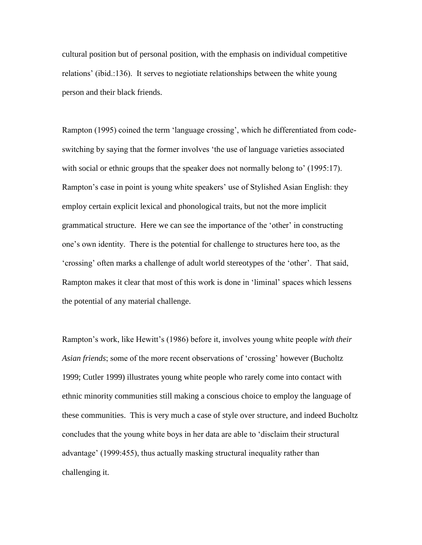cultural position but of personal position, with the emphasis on individual competitive relations' (ibid.:136). It serves to negiotiate relationships between the white young person and their black friends.

Rampton (1995) coined the term 'language crossing', which he differentiated from codeswitching by saying that the former involves 'the use of language varieties associated with social or ethnic groups that the speaker does not normally belong to' (1995:17). Rampton's case in point is young white speakers' use of Stylished Asian English: they employ certain explicit lexical and phonological traits, but not the more implicit grammatical structure. Here we can see the importance of the 'other' in constructing one's own identity. There is the potential for challenge to structures here too, as the 'crossing' often marks a challenge of adult world stereotypes of the 'other'. That said, Rampton makes it clear that most of this work is done in 'liminal' spaces which lessens the potential of any material challenge.

Rampton's work, like Hewitt's (1986) before it, involves young white people *with their Asian friends*; some of the more recent observations of 'crossing' however (Bucholtz 1999; Cutler 1999) illustrates young white people who rarely come into contact with ethnic minority communities still making a conscious choice to employ the language of these communities. This is very much a case of style over structure, and indeed Bucholtz concludes that the young white boys in her data are able to 'disclaim their structural advantage' (1999:455), thus actually masking structural inequality rather than challenging it.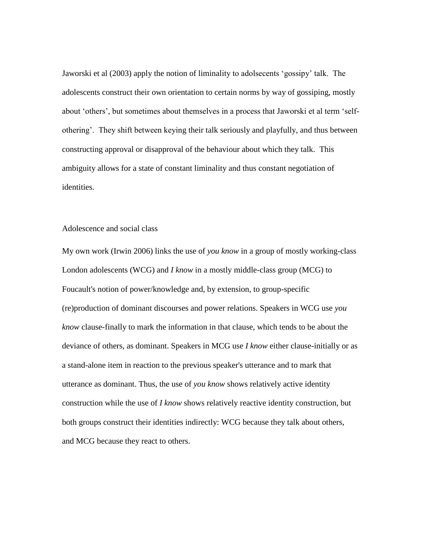Jaworski et al (2003) apply the notion of liminality to adolsecents 'gossipy' talk. The adolescents construct their own orientation to certain norms by way of gossiping, mostly about 'others', but sometimes about themselves in a process that Jaworski et al term 'selfothering'. They shift between keying their talk seriously and playfully, and thus between constructing approval or disapproval of the behaviour about which they talk. This ambiguity allows for a state of constant liminality and thus constant negotiation of identities.

# Adolescence and social class

My own work (Irwin 2006) links the use of *you know* in a group of mostly working-class London adolescents (WCG) and *I know* in a mostly middle-class group (MCG) to Foucault's notion of power/knowledge and, by extension, to group-specific (re)production of dominant discourses and power relations. Speakers in WCG use *you know* clause-finally to mark the information in that clause, which tends to be about the deviance of others, as dominant. Speakers in MCG use *I know* either clause-initially or as a stand-alone item in reaction to the previous speaker's utterance and to mark that utterance as dominant. Thus, the use of *you know* shows relatively active identity construction while the use of *I know* shows relatively reactive identity construction, but both groups construct their identities indirectly: WCG because they talk about others, and MCG because they react to others.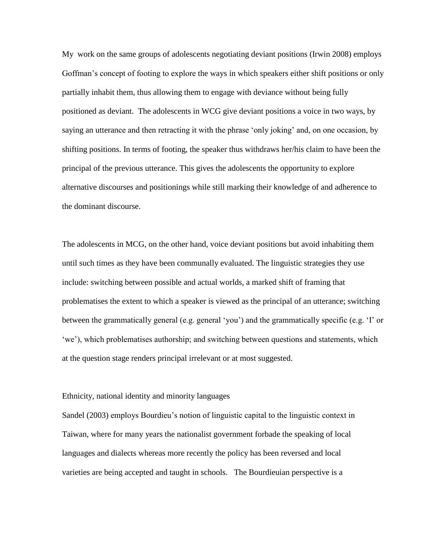My work on the same groups of adolescents negotiating deviant positions (Irwin 2008) employs Goffman's concept of footing to explore the ways in which speakers either shift positions or only partially inhabit them, thus allowing them to engage with deviance without being fully positioned as deviant. The adolescents in WCG give deviant positions a voice in two ways, by saying an utterance and then retracting it with the phrase 'only joking' and, on one occasion, by shifting positions. In terms of footing, the speaker thus withdraws her/his claim to have been the principal of the previous utterance. This gives the adolescents the opportunity to explore alternative discourses and positionings while still marking their knowledge of and adherence to the dominant discourse.

The adolescents in MCG, on the other hand, voice deviant positions but avoid inhabiting them until such times as they have been communally evaluated. The linguistic strategies they use include: switching between possible and actual worlds, a marked shift of framing that problematises the extent to which a speaker is viewed as the principal of an utterance; switching between the grammatically general (e.g. general 'you') and the grammatically specific (e.g. 'I' or 'we'), which problematises authorship; and switching between questions and statements, which at the question stage renders principal irrelevant or at most suggested.

### Ethnicity, national identity and minority languages

Sandel (2003) employs Bourdieu's notion of linguistic capital to the linguistic context in Taiwan, where for many years the nationalist government forbade the speaking of local languages and dialects whereas more recently the policy has been reversed and local varieties are being accepted and taught in schools. The Bourdieuian perspective is a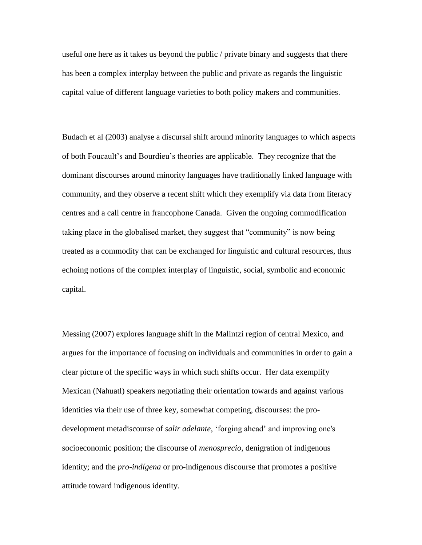useful one here as it takes us beyond the public / private binary and suggests that there has been a complex interplay between the public and private as regards the linguistic capital value of different language varieties to both policy makers and communities.

Budach et al (2003) analyse a discursal shift around minority languages to which aspects of both Foucault's and Bourdieu's theories are applicable. They recognize that the dominant discourses around minority languages have traditionally linked language with community, and they observe a recent shift which they exemplify via data from literacy centres and a call centre in francophone Canada. Given the ongoing commodification taking place in the globalised market, they suggest that "community" is now being treated as a commodity that can be exchanged for linguistic and cultural resources, thus echoing notions of the complex interplay of linguistic, social, symbolic and economic capital.

Messing (2007) explores language shift in the Malintzi region of central Mexico, and argues for the importance of focusing on individuals and communities in order to gain a clear picture of the specific ways in which such shifts occur. Her data exemplify Mexican (Nahuatl) speakers negotiating their orientation towards and against various identities via their use of three key, somewhat competing, discourses: the prodevelopment metadiscourse of *salir adelante*, 'forging ahead' and improving one's socioeconomic position; the discourse of *menosprecio*, denigration of indigenous identity; and the *pro-indígena* or pro-indigenous discourse that promotes a positive attitude toward indigenous identity.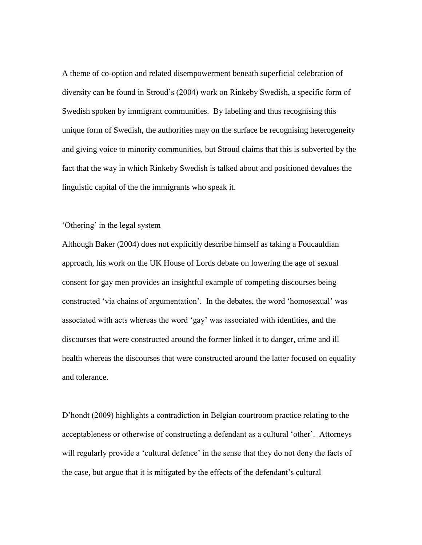A theme of co-option and related disempowerment beneath superficial celebration of diversity can be found in Stroud's (2004) work on Rinkeby Swedish, a specific form of Swedish spoken by immigrant communities. By labeling and thus recognising this unique form of Swedish, the authorities may on the surface be recognising heterogeneity and giving voice to minority communities, but Stroud claims that this is subverted by the fact that the way in which Rinkeby Swedish is talked about and positioned devalues the linguistic capital of the the immigrants who speak it.

# 'Othering' in the legal system

Although Baker (2004) does not explicitly describe himself as taking a Foucauldian approach, his work on the UK House of Lords debate on lowering the age of sexual consent for gay men provides an insightful example of competing discourses being constructed 'via chains of argumentation'. In the debates, the word 'homosexual' was associated with acts whereas the word 'gay' was associated with identities, and the discourses that were constructed around the former linked it to danger, crime and ill health whereas the discourses that were constructed around the latter focused on equality and tolerance.

D'hondt (2009) highlights a contradiction in Belgian courtroom practice relating to the acceptableness or otherwise of constructing a defendant as a cultural 'other'. Attorneys will regularly provide a 'cultural defence' in the sense that they do not deny the facts of the case, but argue that it is mitigated by the effects of the defendant's cultural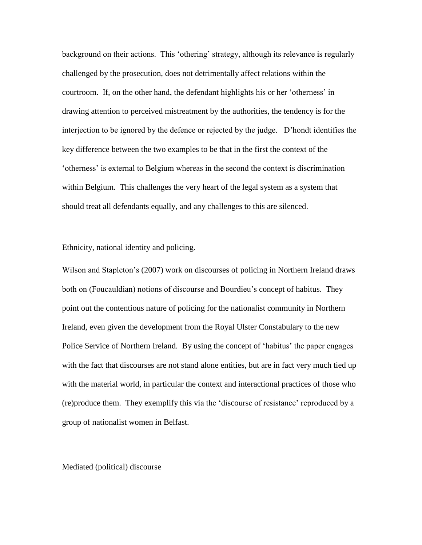background on their actions. This 'othering' strategy, although its relevance is regularly challenged by the prosecution, does not detrimentally affect relations within the courtroom. If, on the other hand, the defendant highlights his or her 'otherness' in drawing attention to perceived mistreatment by the authorities, the tendency is for the interjection to be ignored by the defence or rejected by the judge. D'hondt identifies the key difference between the two examples to be that in the first the context of the 'otherness' is external to Belgium whereas in the second the context is discrimination within Belgium. This challenges the very heart of the legal system as a system that should treat all defendants equally, and any challenges to this are silenced.

Ethnicity, national identity and policing.

Wilson and Stapleton's (2007) work on discourses of policing in Northern Ireland draws both on (Foucauldian) notions of discourse and Bourdieu's concept of habitus. They point out the contentious nature of policing for the nationalist community in Northern Ireland, even given the development from the Royal Ulster Constabulary to the new Police Service of Northern Ireland. By using the concept of 'habitus' the paper engages with the fact that discourses are not stand alone entities, but are in fact very much tied up with the material world, in particular the context and interactional practices of those who (re)produce them. They exemplify this via the 'discourse of resistance' reproduced by a group of nationalist women in Belfast.

Mediated (political) discourse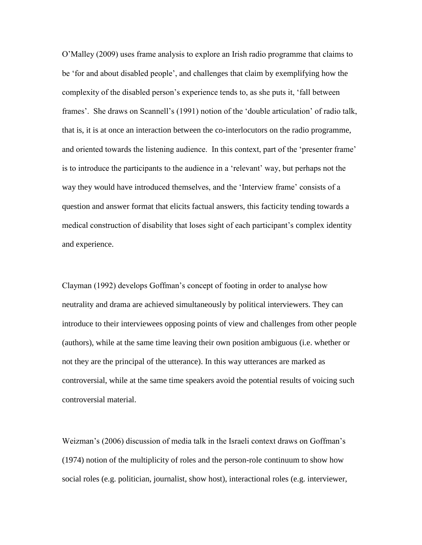O'Malley (2009) uses frame analysis to explore an Irish radio programme that claims to be 'for and about disabled people', and challenges that claim by exemplifying how the complexity of the disabled person's experience tends to, as she puts it, 'fall between frames'. She draws on Scannell's (1991) notion of the 'double articulation' of radio talk, that is, it is at once an interaction between the co-interlocutors on the radio programme, and oriented towards the listening audience. In this context, part of the 'presenter frame' is to introduce the participants to the audience in a 'relevant' way, but perhaps not the way they would have introduced themselves, and the 'Interview frame' consists of a question and answer format that elicits factual answers, this facticity tending towards a medical construction of disability that loses sight of each participant's complex identity and experience.

Clayman (1992) develops Goffman's concept of footing in order to analyse how neutrality and drama are achieved simultaneously by political interviewers. They can introduce to their interviewees opposing points of view and challenges from other people (authors), while at the same time leaving their own position ambiguous (i.e. whether or not they are the principal of the utterance). In this way utterances are marked as controversial, while at the same time speakers avoid the potential results of voicing such controversial material.

Weizman's (2006) discussion of media talk in the Israeli context draws on Goffman's (1974) notion of the multiplicity of roles and the person-role continuum to show how social roles (e.g. politician, journalist, show host), interactional roles (e.g. interviewer,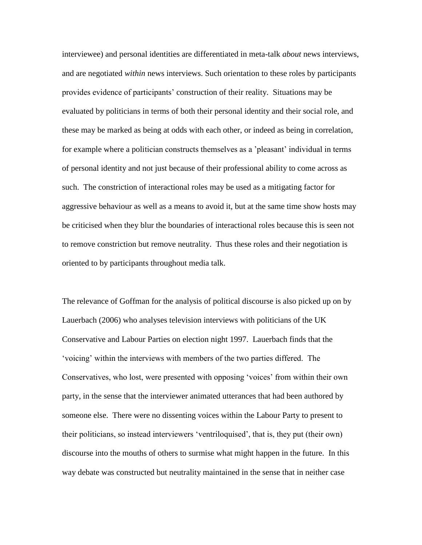interviewee) and personal identities are differentiated in meta-talk *about* news interviews, and are negotiated *within* news interviews. Such orientation to these roles by participants provides evidence of participants' construction of their reality. Situations may be evaluated by politicians in terms of both their personal identity and their social role, and these may be marked as being at odds with each other, or indeed as being in correlation, for example where a politician constructs themselves as a 'pleasant' individual in terms of personal identity and not just because of their professional ability to come across as such. The constriction of interactional roles may be used as a mitigating factor for aggressive behaviour as well as a means to avoid it, but at the same time show hosts may be criticised when they blur the boundaries of interactional roles because this is seen not to remove constriction but remove neutrality. Thus these roles and their negotiation is oriented to by participants throughout media talk.

The relevance of Goffman for the analysis of political discourse is also picked up on by Lauerbach (2006) who analyses television interviews with politicians of the UK Conservative and Labour Parties on election night 1997. Lauerbach finds that the 'voicing' within the interviews with members of the two parties differed. The Conservatives, who lost, were presented with opposing 'voices' from within their own party, in the sense that the interviewer animated utterances that had been authored by someone else. There were no dissenting voices within the Labour Party to present to their politicians, so instead interviewers 'ventriloquised', that is, they put (their own) discourse into the mouths of others to surmise what might happen in the future. In this way debate was constructed but neutrality maintained in the sense that in neither case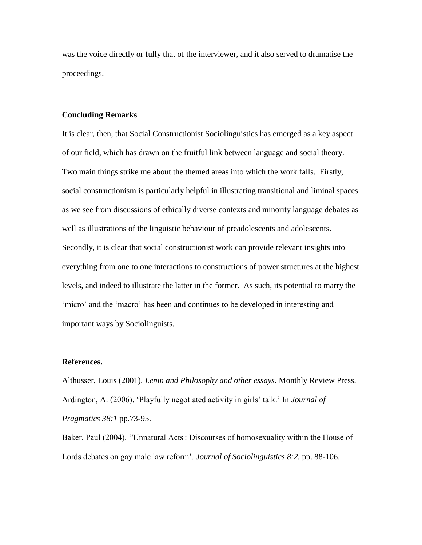was the voice directly or fully that of the interviewer, and it also served to dramatise the proceedings.

## **Concluding Remarks**

It is clear, then, that Social Constructionist Sociolinguistics has emerged as a key aspect of our field, which has drawn on the fruitful link between language and social theory. Two main things strike me about the themed areas into which the work falls. Firstly, social constructionism is particularly helpful in illustrating transitional and liminal spaces as we see from discussions of ethically diverse contexts and minority language debates as well as illustrations of the linguistic behaviour of preadolescents and adolescents. Secondly, it is clear that social constructionist work can provide relevant insights into everything from one to one interactions to constructions of power structures at the highest levels, and indeed to illustrate the latter in the former. As such, its potential to marry the 'micro' and the 'macro' has been and continues to be developed in interesting and important ways by Sociolinguists.

# **References.**

Althusser, Louis (2001). *Lenin and Philosophy and other essays.* Monthly Review Press. Ardington, A. (2006). 'Playfully negotiated activity in girls' talk.' In *Journal of Pragmatics 38:1* pp.73-95.

Baker, Paul (2004). ''Unnatural Acts': Discourses of homosexuality within the House of Lords debates on gay male law reform'. *Journal of Sociolinguistics 8:2.* pp. 88-106.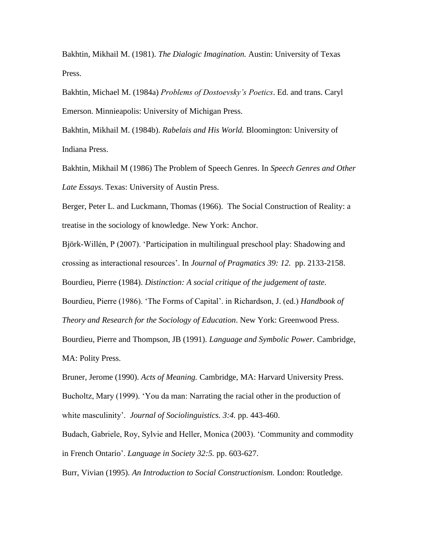Bakhtin, Mikhail M. (1981). *The Dialogic Imagination.* Austin: University of Texas Press.

Bakhtin, Michael M. (1984a) *Problems of Dostoevsky's Poetics*. Ed. and trans. Caryl Emerson. Minnieapolis: University of Michigan Press.

Bakhtin, Mikhail M. (1984b). *Rabelais and His World.* Bloomington: University of Indiana Press.

Bakhtin, Mikhail M (1986) The Problem of Speech Genres. In *Speech Genres and Other Late Essays*. Texas: University of Austin Press.

Berger, Peter L. and Luckmann, Thomas (1966). The Social Construction of Reality: a treatise in the sociology of knowledge. New York: Anchor.

Björk-Willén, P (2007). 'Participation in multilingual preschool play: Shadowing and crossing as interactional resources'. In *Journal of Pragmatics 39: 12.* pp. 2133-2158.

Bourdieu, Pierre (1984). *Distinction: A social critique of the judgement of taste.* 

Bourdieu, Pierre (1986). 'The Forms of Capital'. in Richardson, J. (ed.) *Handbook of Theory and Research for the Sociology of Education*. New York: Greenwood Press.

Bourdieu, Pierre and Thompson, JB (1991). *Language and Symbolic Power.* Cambridge, MA: Polity Press.

Bruner, Jerome (1990). *Acts of Meaning.* Cambridge, MA: Harvard University Press. Bucholtz, Mary (1999). 'You da man: Narrating the racial other in the production of white masculinity'. *Journal of Sociolinguistics. 3:4.* pp. 443-460.

Budach, Gabriele, Roy, Sylvie and Heller, Monica (2003). 'Community and commodity in French Ontario'. *Language in Society 32:5.* pp. 603-627.

Burr, Vivian (1995). *An Introduction to Social Constructionism.* London: Routledge.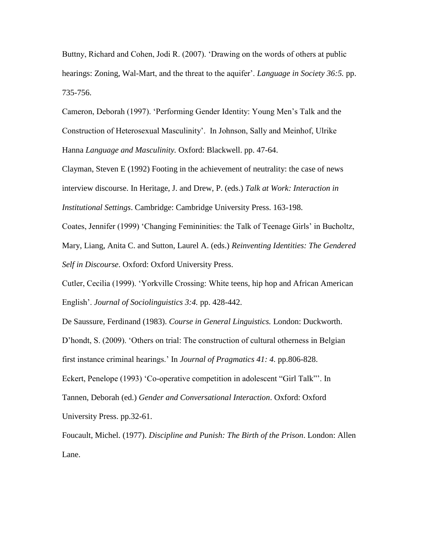Buttny, Richard and Cohen, Jodi R. (2007). 'Drawing on the words of others at public hearings: Zoning, Wal-Mart, and the threat to the aquifer'. *Language in Society 36:5.* pp. 735-756.

Cameron, Deborah (1997). 'Performing Gender Identity: Young Men's Talk and the Construction of Heterosexual Masculinity'. In Johnson, Sally and Meinhof, Ulrike Hanna *Language and Masculinity.* Oxford: Blackwell. pp. 47-64.

Clayman, Steven E (1992) Footing in the achievement of neutrality: the case of news interview discourse. In Heritage, J. and Drew, P. (eds.) *Talk at Work: Interaction in Institutional Settings*. Cambridge: Cambridge University Press. 163-198.

Coates, Jennifer (1999) 'Changing Femininities: the Talk of Teenage Girls' in Bucholtz, Mary, Liang, Anita C. and Sutton, Laurel A. (eds.) *Reinventing Identities: The Gendered Self in Discourse*. Oxford: Oxford University Press.

Cutler, Cecilia (1999). 'Yorkville Crossing: White teens, hip hop and African American English'. *Journal of Sociolinguistics 3:4.* pp. 428-442.

De Saussure, Ferdinand (1983). *Course in General Linguistics.* London: Duckworth. D'hondt, S. (2009). 'Others on trial: The construction of cultural otherness in Belgian first instance criminal hearings.' In *Journal of Pragmatics 41: 4.* pp.806-828. Eckert, Penelope (1993) 'Co-operative competition in adolescent "Girl Talk"'. In Tannen, Deborah (ed.) *Gender and Conversational Interaction*. Oxford: Oxford University Press. pp.32-61.

Foucault, Michel. (1977). *Discipline and Punish: The Birth of the Prison*. London: Allen Lane.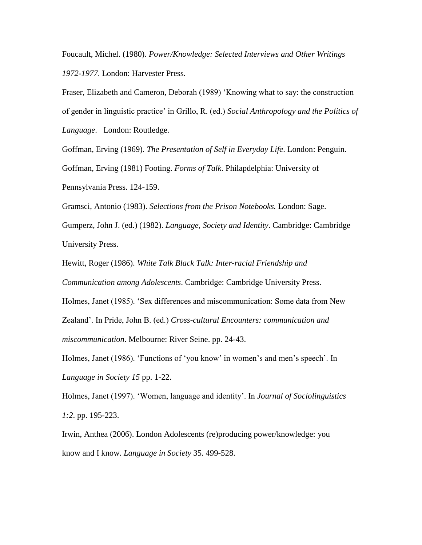Foucault, Michel. (1980). *Power/Knowledge: Selected Interviews and Other Writings 1972-1977*. London: Harvester Press.

Fraser, Elizabeth and Cameron, Deborah (1989) 'Knowing what to say: the construction of gender in linguistic practice' in Grillo, R. (ed.) *Social Anthropology and the Politics of Language*. London: Routledge.

Goffman, Erving (1969). *The Presentation of Self in Everyday Life*. London: Penguin. Goffman, Erving (1981) Footing. *Forms of Talk*. Philapdelphia: University of Pennsylvania Press. 124-159.

Gramsci, Antonio (1983). *Selections from the Prison Notebooks.* London: Sage.

Gumperz, John J. (ed.) (1982). *Language, Society and Identity*. Cambridge: Cambridge University Press.

Hewitt, Roger (1986). *White Talk Black Talk: Inter-racial Friendship and* 

*Communication among Adolescents*. Cambridge: Cambridge University Press.

Holmes, Janet (1985). 'Sex differences and miscommunication: Some data from New Zealand'. In Pride, John B. (ed.) *Cross-cultural Encounters: communication and miscommunication*. Melbourne: River Seine. pp. 24-43.

Holmes, Janet (1986). 'Functions of 'you know' in women's and men's speech'. In *Language in Society 15* pp. 1-22.

Holmes, Janet (1997). 'Women, language and identity'. In *Journal of Sociolinguistics 1:2*. pp. 195-223.

Irwin, Anthea (2006). London Adolescents (re)producing power/knowledge: you know and I know. *Language in Society* 35. 499-528.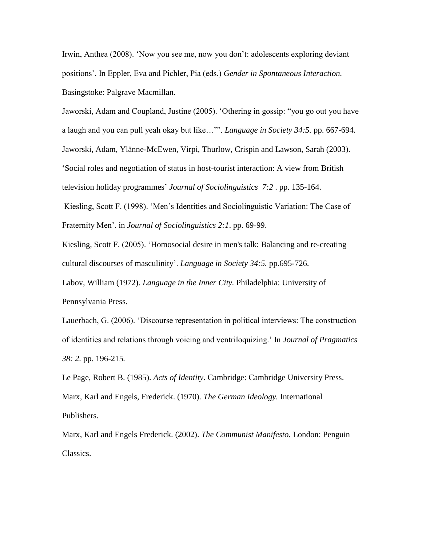Irwin, Anthea (2008). 'Now you see me, now you don't: adolescents exploring deviant positions'. In Eppler, Eva and Pichler, Pia (eds.) *Gender in Spontaneous Interaction.*  Basingstoke: Palgrave Macmillan.

Jaworski, Adam and Coupland, Justine (2005). 'Othering in gossip: "you go out you have a laugh and you can pull yeah okay but like…"'. *Language in Society 34:5.* pp. 667-694. Jaworski, Adam, Ylänne-McEwen, Virpi, Thurlow, Crispin and Lawson, Sarah (2003). 'Social roles and negotiation of status in host-tourist interaction: A view from British television holiday programmes' *Journal of Sociolinguistics 7:2* . pp. 135-164.

Kiesling, Scott F. (1998). 'Men's Identities and Sociolinguistic Variation: The Case of Fraternity Men'. in *Journal of Sociolinguistics 2:1*. pp. 69-99.

Kiesling, Scott F. (2005). 'Homosocial desire in men's talk: Balancing and re-creating cultural discourses of masculinity'. *Language in Society 34:5.* pp.695-726.

Labov, William (1972). *Language in the Inner City.* Philadelphia: University of Pennsylvania Press.

Lauerbach, G. (2006). 'Discourse representation in political interviews: The construction of identities and relations through voicing and ventriloquizing.' In *Journal of Pragmatics 38: 2.* pp. 196-215*.*

Le Page, Robert B. (1985). *Acts of Identity*. Cambridge: Cambridge University Press. Marx, Karl and Engels, Frederick. (1970). *The German Ideology.* International Publishers.

Marx, Karl and Engels Frederick. (2002). *The Communist Manifesto.* London: Penguin Classics.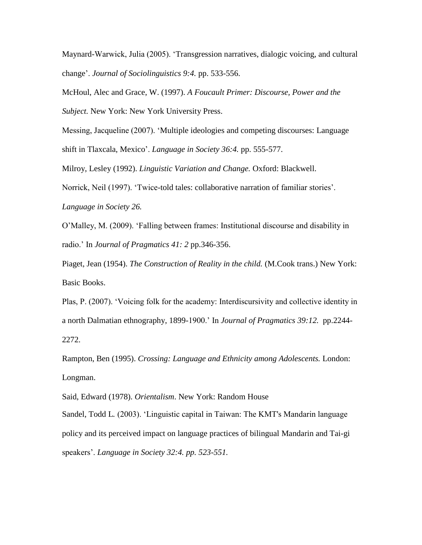Maynard-Warwick, Julia (2005). 'Transgression narratives, dialogic voicing, and cultural change'. *Journal of Sociolinguistics 9:4.* pp. 533-556.

McHoul, Alec and Grace, W. (1997). *A Foucault Primer: Discourse, Power and the Subject.* New York: New York University Press.

Messing, Jacqueline (2007). 'Multiple ideologies and competing discourses: Language shift in Tlaxcala, Mexico'. *Language in Society 36:4.* pp. 555-577.

Milroy, Lesley (1992). *Linguistic Variation and Change.* Oxford: Blackwell.

Norrick, Neil (1997). 'Twice-told tales: collaborative narration of familiar stories'.

*Language in Society 26.*

O'Malley, M. (2009). 'Falling between frames: Institutional discourse and disability in radio.' In *Journal of Pragmatics 41: 2* pp.346-356.

Piaget, Jean (1954). *The Construction of Reality in the child.* (M.Cook trans.) New York: Basic Books.

Plas, P. (2007). 'Voicing folk for the academy: Interdiscursivity and collective identity in a north Dalmatian ethnography, 1899-1900.' In *Journal of Pragmatics 39:12.* pp.2244- 2272.

Rampton, Ben (1995). *Crossing: Language and Ethnicity among Adolescents.* London: Longman.

Said, Edward (1978). *Orientalism*. New York: Random House

Sandel, Todd L*.* (2003). 'Linguistic capital in Taiwan: The KMT's Mandarin language policy and its perceived impact on language practices of bilingual Mandarin and Tai-gi speakers'. *Language in Society 32:4. pp. 523-551.*